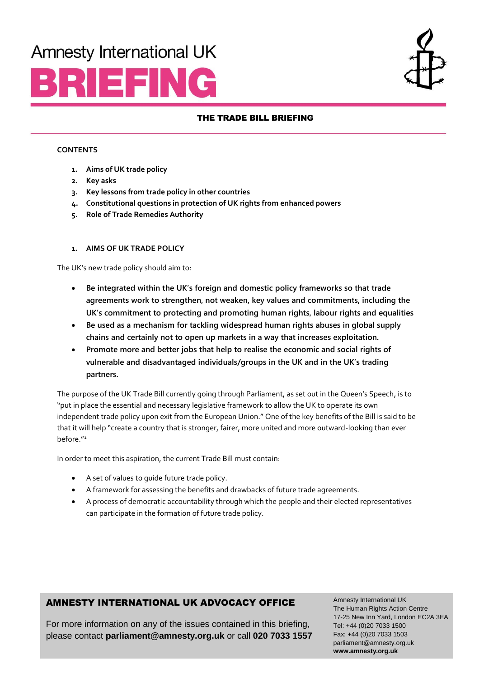# **Amnesty International UK**





## THE TRADE BILL BRIEFING

#### **CONTENTS**

- **1. Aims of UK trade policy**
- **2. Key asks**
- **3. Key lessons from trade policy in other countries**
- **4. Constitutional questions in protection of UK rights from enhanced powers**
- **5. Role of Trade Remedies Authority**

#### **1. AIMS OF UK TRADE POLICY**

The UK's new trade policy should aim to:

- **Be integrated within the UK's foreign and domestic policy frameworks so that trade agreements work to strengthen, not weaken, key values and commitments, including the UK's commitment to protecting and promoting human rights, labour rights and equalities**
- **Be used as a mechanism for tackling widespread human rights abuses in global supply chains and certainly not to open up markets in a way that increases exploitation.**
- **Promote more and better jobs that help to realise the economic and social rights of vulnerable and disadvantaged individuals/groups in the UK and in the UK's trading partners.**

The purpose of the UK Trade Bill currently going through Parliament, as set out in the Queen's Speech, is to "put in place the essential and necessary legislative framework to allow the UK to operate its own independent trade policy upon exit from the European Union." One of the key benefits of the Bill is said to be that it will help "create a country that is stronger, fairer, more united and more outward-looking than ever before."<sup>1</sup>

In order to meet this aspiration, the current Trade Bill must contain:

- A set of values to guide future trade policy.
- A framework for assessing the benefits and drawbacks of future trade agreements.
- A process of democratic accountability through which the people and their elected representatives can participate in the formation of future trade policy.

# AMNESTY INTERNATIONAL UK ADVOCACY OFFICE

For more information on any of the issues contained in this briefing, please contact **[parliament@amnesty.org.uk](mailto:parliament@amnesty.org.uk)** or call **020 7033 1557**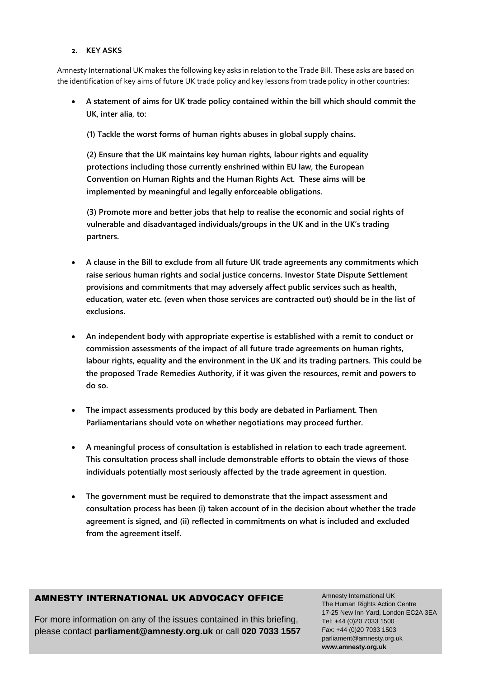#### **2. KEY ASKS**

Amnesty International UK makes the following key asks in relation to the Trade Bill. These asks are based on the identification of key aims of future UK trade policy and key lessons from trade policy in other countries:

- **A statement of aims for UK trade policy contained within the bill which should commit the UK, inter alia, to:** 
	- **(1) Tackle the worst forms of human rights abuses in global supply chains.**

**(2) Ensure that the UK maintains key human rights, labour rights and equality protections including those currently enshrined within EU law, the European Convention on Human Rights and the Human Rights Act. These aims will be implemented by meaningful and legally enforceable obligations.**

**(3) Promote more and better jobs that help to realise the economic and social rights of vulnerable and disadvantaged individuals/groups in the UK and in the UK's trading partners.**

- **A clause in the Bill to exclude from all future UK trade agreements any commitments which raise serious human rights and social justice concerns. Investor State Dispute Settlement provisions and commitments that may adversely affect public services such as health, education, water etc. (even when those services are contracted out) should be in the list of exclusions.**
- **An independent body with appropriate expertise is established with a remit to conduct or commission assessments of the impact of all future trade agreements on human rights, labour rights, equality and the environment in the UK and its trading partners. This could be the proposed Trade Remedies Authority, if it was given the resources, remit and powers to do so.**
- **The impact assessments produced by this body are debated in Parliament. Then Parliamentarians should vote on whether negotiations may proceed further.**
- **A meaningful process of consultation is established in relation to each trade agreement. This consultation process shall include demonstrable efforts to obtain the views of those individuals potentially most seriously affected by the trade agreement in question.**
- **The government must be required to demonstrate that the impact assessment and consultation process has been (i) taken account of in the decision about whether the trade agreement is signed, and (ii) reflected in commitments on what is included and excluded from the agreement itself.**

# AMNESTY INTERNATIONAL UK ADVOCACY OFFICE

For more information on any of the issues contained in this briefing, please contact **[parliament@amnesty.org.uk](mailto:parliament@amnesty.org.uk)** or call **020 7033 1557**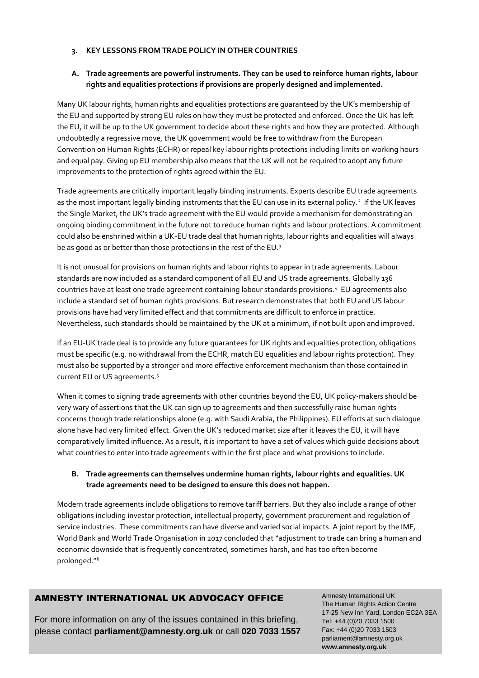#### **3. KEY LESSONS FROM TRADE POLICY IN OTHER COUNTRIES**

## **A. Trade agreements are powerful instruments. They can be used to reinforce human rights, labour rights and equalities protections if provisions are properly designed and implemented.**

Many UK labour rights, human rights and equalities protections are guaranteed by the UK's membership of the EU and supported by strong EU rules on how they must be protected and enforced. Once the UK has left the EU, it will be up to the UK government to decide about these rights and how they are protected. Although undoubtedly a regressive move, the UK government would be free to withdraw from the European Convention on Human Rights (ECHR) or repeal key labour rights protections including limits on working hours and equal pay. Giving up EU membership also means that the UK will not be required to adopt any future improvements to the protection of rights agreed within the EU.

Trade agreements are critically important legally binding instruments. Experts describe EU trade agreements as the most important legally binding instruments that the EU can use in its external policy.<sup>2</sup> If the UK leaves the Single Market, the UK's trade agreement with the EU would provide a mechanism for demonstrating an ongoing binding commitment in the future not to reduce human rights and labour protections. A commitment could also be enshrined within a UK-EU trade deal that human rights, labour rights and equalities will always be as good as or better than those protections in the rest of the EU. $^3$ 

It is not unusual for provisions on human rights and labour rights to appear in trade agreements. Labour standards are now included as a standard component of all EU and US trade agreements. Globally 136 countries have at least one trade agreement containing labour standards provisions.<sup>4</sup> EU agreements also include a standard set of human rights provisions. But research demonstrates that both EU and US labour provisions have had very limited effect and that commitments are difficult to enforce in practice. Nevertheless, such standards should be maintained by the UK at a minimum, if not built upon and improved.

If an EU-UK trade deal is to provide any future guarantees for UK rights and equalities protection, obligations must be specific (e.g. no withdrawal from the ECHR, match EU equalities and labour rights protection). They must also be supported by a stronger and more effective enforcement mechanism than those contained in current EU or US agreements.<sup>5</sup>

When it comes to signing trade agreements with other countries beyond the EU, UK policy-makers should be very wary of assertions that the UK can sign up to agreements and then successfully raise human rights concerns though trade relationships alone (e.g. with Saudi Arabia, the Philippines). EU efforts at such dialogue alone have had very limited effect. Given the UK's reduced market size after it leaves the EU, it will have comparatively limited influence. As a result, it is important to have a set of values which guide decisions about what countries to enter into trade agreements with in the first place and what provisions to include.

## **B. Trade agreements can themselves undermine human rights, labour rights and equalities. UK trade agreements need to be designed to ensure this does not happen.**

Modern trade agreements include obligations to remove tariff barriers. But they also include a range of other obligations including investor protection, intellectual property, government procurement and regulation of service industries. These commitments can have diverse and varied social impacts. A joint report by the IMF, World Bank and World Trade Organisation in 2017 concluded that "adjustment to trade can bring a human and economic downside that is frequently concentrated, sometimes harsh, and has too often become prolonged."6

# AMNESTY INTERNATIONAL UK ADVOCACY OFFICE

For more information on any of the issues contained in this briefing, please contact **[parliament@amnesty.org.uk](mailto:parliament@amnesty.org.uk)** or call **020 7033 1557**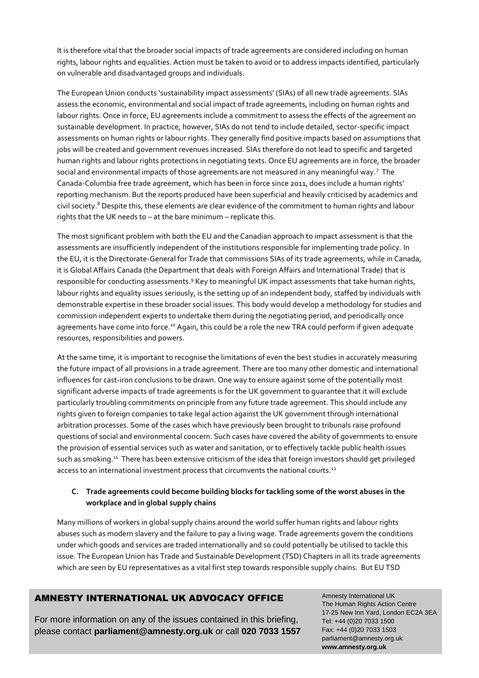It is therefore vital that the broader social impacts of trade agreements are considered including on human rights, labour rights and equalities. Action must be taken to avoid or to address impacts identified, particularly on vulnerable and disadvantaged groups and individuals.

The European Union conducts 'sustainability impact assessments' (SIAs) of all new trade agreements. SIAs assess the economic, environmental and social impact of trade agreements, including on human rights and labour rights. Once in force, EU agreements include a commitment to assess the effects of the agreement on sustainable development. In practice, however, SIAs do not tend to include detailed, sector-specific impact assessments on human rights or labour rights. They generally find positive impacts based on assumptions that jobs will be created and government revenues increased. SIAs therefore do not lead to specific and targeted human rights and labour rights protections in negotiating texts. Once EU agreements are in force, the broader social and environmental impacts of those agreements are not measured in any meaningful way.<sup>7</sup> The Canada-Columbia free trade agreement, which has been in force since 2011, does include a human rights' reporting mechanism. But the reports produced have been superficial and heavily criticised by academics and civil society.<sup>8</sup> Despite this, these elements are clear evidence of the commitment to human rights and labour rights that the UK needs to – at the bare minimum – replicate this.

The most significant problem with both the EU and the Canadian approach to impact assessment is that the assessments are insufficiently independent of the institutions responsible for implementing trade policy. In the EU, it is the Directorate-General for Trade that commissions SIAs of its trade agreements, while in Canada, it is Global Affairs Canada (the Department that deals with Foreign Affairs and International Trade) that is responsible for conducting assessments.<sup>9</sup> Key to meaningful UK impact assessments that take human rights**,** labour rights and equality issues seriously, is the setting up of an independent body, staffed by individuals with demonstrable expertise in these broader social issues. This body would develop a methodology for studies and commission independent experts to undertake them during the negotiating period, and periodically once agreements have come into force.<sup>10</sup> Again, this could be a role the new TRA could perform if given adequate resources, responsibilities and powers.

At the same time, it is important to recognise the limitations of even the best studies in accurately measuring the future impact of all provisions in a trade agreement. There are too many other domestic and international influences for cast-iron conclusions to be drawn. One way to ensure against some of the potentially most significant adverse impacts of trade agreements is for the UK government to guarantee that it will exclude particularly troubling commitments on principle from any future trade agreement. This should include any rights given to foreign companies to take legal action against the UK government through international arbitration processes. Some of the cases which have previously been brought to tribunals raise profound questions of social and environmental concern. Such cases have covered the ability of governments to ensure the provision of essential services such as water and sanitation, or to effectively tackle public health issues such as smoking.<sup>11</sup> There has been extensive criticism of the idea that foreign investors should get privileged access to an international investment process that circumvents the national courts.<sup>12</sup>

## **C. Trade agreements could become building blocks for tackling some of the worst abuses in the workplace and in global supply chains**

Many millions of workers in global supply chains around the world suffer human rights and labour rights abuses such as modern slavery and the failure to pay a living wage. Trade agreements govern the conditions under which goods and services are traded internationally and so could potentially be utilised to tackle this issue. The European Union has Trade and Sustainable Development (TSD) Chapters in all its trade agreements which are seen by EU representatives as a vital first step towards responsible supply chains. But EU TSD

# AMNESTY INTERNATIONAL UK ADVOCACY OFFICE

For more information on any of the issues contained in this briefing, please contact **[parliament@amnesty.org.uk](mailto:parliament@amnesty.org.uk)** or call **020 7033 1557**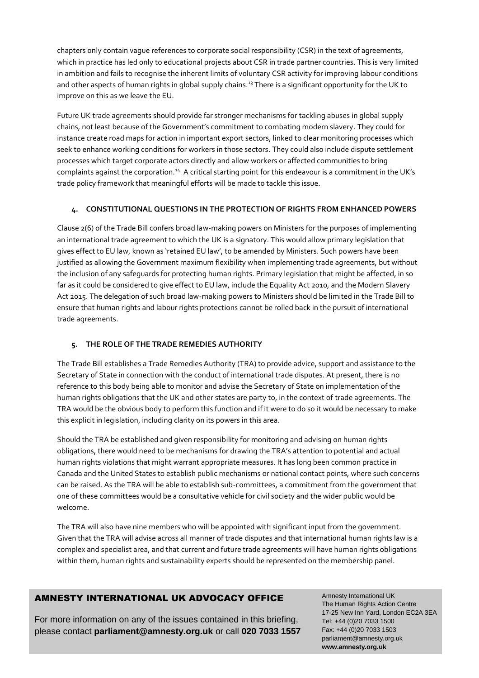chapters only contain vague references to corporate social responsibility (CSR) in the text of agreements, which in practice has led only to educational projects about CSR in trade partner countries. This is very limited in ambition and fails to recognise the inherent limits of voluntary CSR activity for improving labour conditions and other aspects of human rights in global supply chains.<sup>13</sup> There is a significant opportunity for the UK to improve on this as we leave the EU.

Future UK trade agreements should provide far stronger mechanisms for tackling abuses in global supply chains, not least because of the Government's commitment to combating modern slavery. They could for instance create road maps for action in important export sectors, linked to clear monitoring processes which seek to enhance working conditions for workers in those sectors. They could also include dispute settlement processes which target corporate actors directly and allow workers or affected communities to bring complaints against the corporation.<sup>14</sup> A critical starting point for this endeavour is a commitment in the UK's trade policy framework that meaningful efforts will be made to tackle this issue.

## **4. CONSTITUTIONAL QUESTIONS IN THE PROTECTION OF RIGHTS FROM ENHANCED POWERS**

Clause 2(6) of the Trade Bill confers broad law-making powers on Ministers for the purposes of implementing an international trade agreement to which the UK is a signatory. This would allow primary legislation that gives effect to EU law, known as 'retained EU law', to be amended by Ministers. Such powers have been justified as allowing the Government maximum flexibility when implementing trade agreements, but without the inclusion of any safeguards for protecting human rights. Primary legislation that might be affected, in so far as it could be considered to give effect to EU law, include the Equality Act 2010, and the Modern Slavery Act 2015. The delegation of such broad law-making powers to Ministers should be limited in the Trade Bill to ensure that human rights and labour rights protections cannot be rolled back in the pursuit of international trade agreements.

#### **5. THE ROLE OF THE TRADE REMEDIES AUTHORITY**

The Trade Bill establishes a Trade Remedies Authority (TRA) to provide advice, support and assistance to the Secretary of State in connection with the conduct of international trade disputes. At present, there is no reference to this body being able to monitor and advise the Secretary of State on implementation of the human rights obligations that the UK and other states are party to, in the context of trade agreements. The TRA would be the obvious body to perform this function and if it were to do so it would be necessary to make this explicit in legislation, including clarity on its powers in this area.

Should the TRA be established and given responsibility for monitoring and advising on human rights obligations, there would need to be mechanisms for drawing the TRA's attention to potential and actual human rights violations that might warrant appropriate measures. It has long been common practice in Canada and the United States to establish public mechanisms or national contact points, where such concerns can be raised. As the TRA will be able to establish sub-committees, a commitment from the government that one of these committees would be a consultative vehicle for civil society and the wider public would be welcome.

The TRA will also have nine members who will be appointed with significant input from the government. Given that the TRA will advise across all manner of trade disputes and that international human rights law is a complex and specialist area, and that current and future trade agreements will have human rights obligations within them, human rights and sustainability experts should be represented on the membership panel.

# AMNESTY INTERNATIONAL UK ADVOCACY OFFICE

For more information on any of the issues contained in this briefing, please contact **[parliament@amnesty.org.uk](mailto:parliament@amnesty.org.uk)** or call **020 7033 1557**